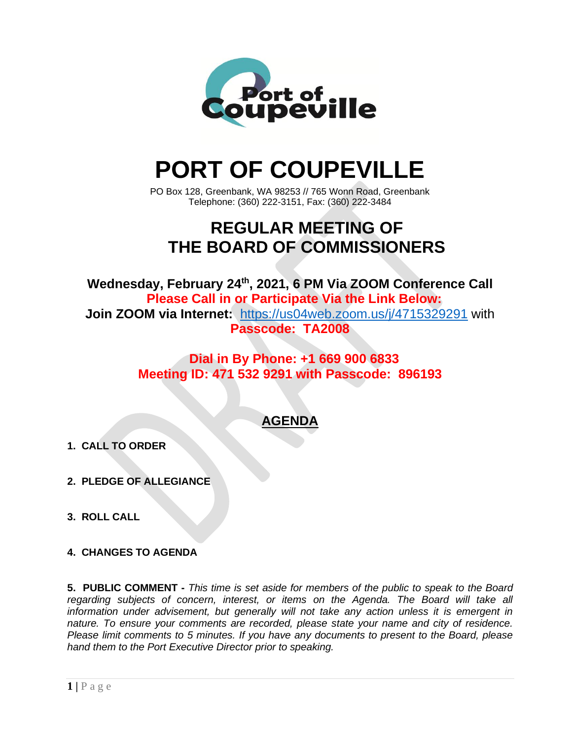

# **PORT OF COUPEVILLE**

PO Box 128, Greenbank, WA 98253 // 765 Wonn Road, Greenbank Telephone: (360) 222-3151, Fax: (360) 222-3484

# **REGULAR MEETING OF THE BOARD OF COMMISSIONERS**

**Wednesday, February 24 th , 2021, 6 PM Via ZOOM Conference Call Please Call in or Participate Via the Link Below: Join ZOOM via Internet:** <https://us04web.zoom.us/j/4715329291> with **Passcode: TA2008**

### **Dial in By Phone: +1 669 900 6833 Meeting ID: 471 532 9291 with Passcode: 896193**

## **AGENDA**

- **1. CALL TO ORDER**
- **2. PLEDGE OF ALLEGIANCE**
- **3. ROLL CALL**
- **4. CHANGES TO AGENDA**

**5. PUBLIC COMMENT -** *This time is set aside for members of the public to speak to the Board regarding subjects of concern, interest, or items on the Agenda. The Board will take all information under advisement, but generally will not take any action unless it is emergent in nature. To ensure your comments are recorded, please state your name and city of residence. Please limit comments to 5 minutes. If you have any documents to present to the Board, please hand them to the Port Executive Director prior to speaking.*